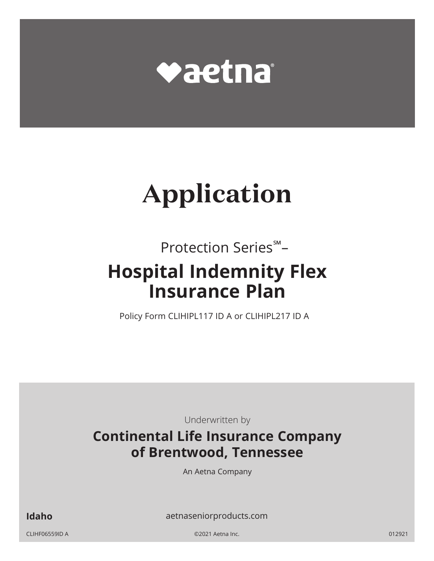

# **Application**

## Protection Series℠ – **Hospital Indemnity Flex Insurance Plan**

Policy Form CLIHIPL117 ID A or CLIHIPL217 ID A

Underwritten by

## **Continental Life Insurance Company of Brentwood, Tennessee**

An Aetna Company

**Idaho** aetnaseniorproducts.com

CLIHF06559ID A ©2021 Aetna Inc. 012921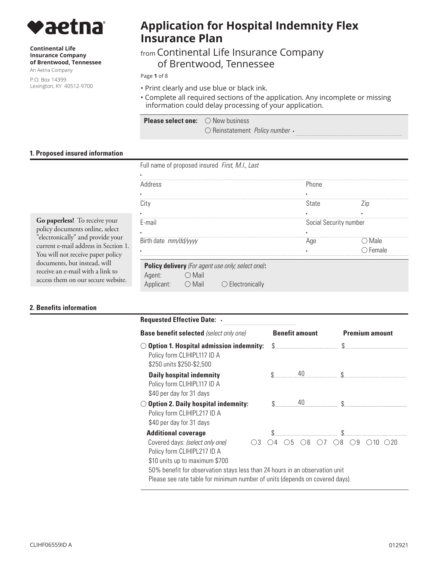

#### **Continental Life Insurance Company of Brentwood, Tennessee**

An Aetna Company

P.O. Box 14399 Lexington, KY 40512-9700

## **Application for Hospital Indemnity Flex Insurance Plan**

### from Continental Life Insurance Company of Brentwood, Tennessee

Page **1** of 8

- Print clearly and use blue or black ink.
- Complete all required sections of the application. Any incomplete or missing information could delay processing of your application.

| <b>Please select one:</b> $\bigcirc$ New business |                                            |  |
|---------------------------------------------------|--------------------------------------------|--|
|                                                   | $\circ$ Reinstatement <i>Policy number</i> |  |

#### **1. Proposed insured information**

Full name of proposed insured *First, M.I., Last* 

| Address               |                                                       |                                                   | Phone |        |
|-----------------------|-------------------------------------------------------|---------------------------------------------------|-------|--------|
|                       |                                                       |                                                   |       |        |
|                       |                                                       |                                                   | State |        |
|                       |                                                       |                                                   |       |        |
| E-mail                |                                                       | Social Security number                            |       |        |
|                       |                                                       |                                                   |       |        |
| Birth date mm/dd/yyyy |                                                       |                                                   | Aae   | Male   |
|                       |                                                       |                                                   |       | Female |
|                       |                                                       | Policy delivery (For agent use only; select one): |       |        |
| Agent:                | Mail                                                  |                                                   |       |        |
| App <sup></sup>       | Mail<br>$\left( \begin{array}{c} \end{array} \right)$ | Electronically<br>$($ )                           |       |        |

**Go paperless!** To receive your policy documents online, select "electronically" and provide your current e-mail address in Section 1. You will not receive paper policy documents, but instead, will receive an e-mail with a link to access them on our secure website.

#### **2. Benefits information**

| <b>Requested Effective Date: .</b>                                                                                                                          |  |                       |    |  |              |                       |    |  |  |
|-------------------------------------------------------------------------------------------------------------------------------------------------------------|--|-----------------------|----|--|--------------|-----------------------|----|--|--|
| <b>Base benefit selected</b> (select only one)                                                                                                              |  | <b>Benefit amount</b> |    |  |              | <b>Premium amount</b> |    |  |  |
| <b>Option 1. Hospital admission indemnity:</b><br>Policy form CLIHIPL117 ID A<br>\$250 units \$250-\$2,500                                                  |  |                       |    |  |              |                       |    |  |  |
| <b>Daily hospital indemnity</b><br>Policy form CLIHIPL117 ID A<br>\$40 per day for 31 days                                                                  |  |                       | 40 |  |              |                       |    |  |  |
| <b>Option 2. Daily hospital indemnity:</b><br>Policy form CLIHIPL217 ID A<br>\$40 per day for 31 days                                                       |  |                       |    |  |              |                       |    |  |  |
| <b>Additional coverage</b>                                                                                                                                  |  |                       |    |  |              |                       |    |  |  |
| Covered days: (select only one)<br>$\bigcirc$ 3<br>Policy form CLIHIPL217 ID A<br>\$10 units up to maximum \$700                                            |  | h                     | -ĥ |  | $\bigcirc$ 8 | 9                     | 10 |  |  |
| 50% benefit for observation stays less than 24 hours in an observation unit<br>Please see rate table for minimum number of units (depends on covered days). |  |                       |    |  |              |                       |    |  |  |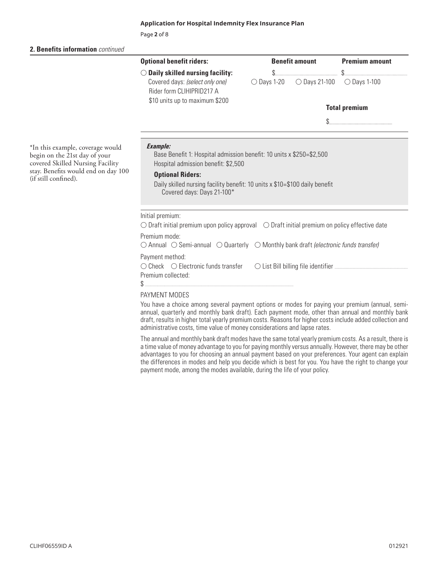Page **2** of 8

#### **2. Benefits information** *continued*

|                                                                                                                                                                      | <b>Optional benefit riders:</b>                                                                                                                                                                                                                                        |                      | <b>Benefit amount</b>  | <b>Premium amount</b> |  |
|----------------------------------------------------------------------------------------------------------------------------------------------------------------------|------------------------------------------------------------------------------------------------------------------------------------------------------------------------------------------------------------------------------------------------------------------------|----------------------|------------------------|-----------------------|--|
|                                                                                                                                                                      | $\bigcirc$ Daily skilled nursing facility:                                                                                                                                                                                                                             | \$.                  |                        |                       |  |
|                                                                                                                                                                      | Covered days: (select only one)<br>Rider form CLIHIPRID217 A                                                                                                                                                                                                           | $\bigcirc$ Days 1-20 | $\bigcirc$ Days 21-100 | $\bigcirc$ Days 1-100 |  |
|                                                                                                                                                                      | \$10 units up to maximum \$200                                                                                                                                                                                                                                         |                      |                        | <b>Total premium</b>  |  |
|                                                                                                                                                                      |                                                                                                                                                                                                                                                                        |                      |                        |                       |  |
| *In this example, coverage would<br>begin on the 21st day of your<br>covered Skilled Nursing Facility<br>stay. Benefits would end on day 100<br>(if still confined). | <b>Example:</b><br>Base Benefit 1: Hospital admission benefit: 10 units x \$250=\$2,500<br>Hospital admission benefit: \$2,500<br><b>Optional Riders:</b><br>Daily skilled nursing facility benefit: 10 units x \$10=\$100 daily benefit<br>Covered days: Days 21-100* |                      |                        |                       |  |
|                                                                                                                                                                      | Initial premium:<br>$\bigcirc$ Draft initial premium upon policy approval $\bigcirc$ Draft initial premium on policy effective date                                                                                                                                    |                      |                        |                       |  |
|                                                                                                                                                                      | Premium mode:<br>$\bigcirc$ Annual $\bigcirc$ Semi-annual $\bigcirc$ Quarterly $\bigcirc$ Monthly bank draft (electronic funds transfer)                                                                                                                               |                      |                        |                       |  |
|                                                                                                                                                                      | Payment method:<br>$\bigcirc$ Check $\bigcirc$ Electronic funds transfer<br>Premium collected:                                                                                                                                                                         |                      |                        |                       |  |

#### PAYMENT MODES

\$ ..................................................................................................................................................

You have a choice among several payment options or modes for paying your premium (annual, semiannual, quarterly and monthly bank draft). Each payment mode, other than annual and monthly bank draft, results in higher total yearly premium costs. Reasons for higher costs include added collection and administrative costs, time value of money considerations and lapse rates.

The annual and monthly bank draft modes have the same total yearly premium costs. As a result, there is a time value of money advantage to you for paying monthly versus annually. However, there may be other advantages to you for choosing an annual payment based on your preferences. Your agent can explain the differences in modes and help you decide which is best for you. You have the right to change your payment mode, among the modes available, during the life of your policy.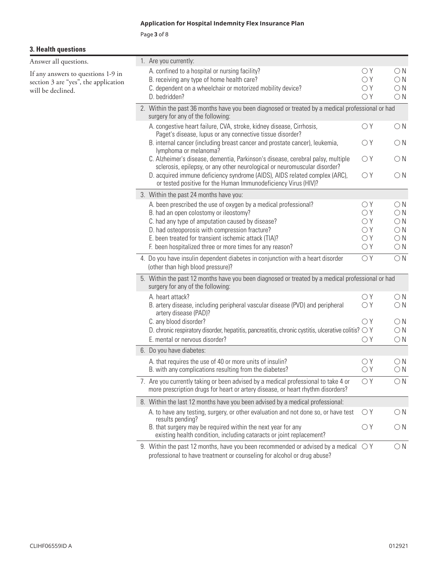Page **3** of 8

#### **3. Health questions**

| Answer all questions.                |  | 1. Are you currently:                                                                                                                                                   |              |              |
|--------------------------------------|--|-------------------------------------------------------------------------------------------------------------------------------------------------------------------------|--------------|--------------|
| If any answers to questions 1-9 in   |  | A. confined to a hospital or nursing facility?                                                                                                                          | $\bigcirc Y$ | $\bigcirc$ N |
| section 3 are "yes", the application |  | B. receiving any type of home health care?                                                                                                                              | $\bigcirc Y$ | $\bigcirc$ N |
| will be declined.                    |  | C. dependent on a wheelchair or motorized mobility device?                                                                                                              | $\bigcirc Y$ | $\bigcirc$ N |
|                                      |  | D. bedridden?                                                                                                                                                           | $\bigcirc Y$ | $\bigcirc$ N |
|                                      |  | 2. Within the past 36 months have you been diagnosed or treated by a medical professional or had<br>surgery for any of the following:                                   |              |              |
|                                      |  | A. congestive heart failure, CVA, stroke, kidney disease, Cirrhosis,<br>Paget's disease, lupus or any connective tissue disorder?                                       | $\bigcirc Y$ | $\bigcirc$ N |
|                                      |  | B. internal cancer (including breast cancer and prostate cancer), leukemia,<br>lymphoma or melanoma?                                                                    | $\bigcirc Y$ | $\bigcirc$ N |
|                                      |  | C. Alzheimer's disease, dementia, Parkinson's disease, cerebral palsy, multiple<br>sclerosis, epilepsy, or any other neurological or neuromuscular disorder?            | OY           | $\bigcirc$ N |
|                                      |  | D. acquired immune deficiency syndrome (AIDS), AIDS related complex (ARC),<br>or tested positive for the Human Immunodeficiency Virus (HIV)?                            | $\bigcirc Y$ | $\bigcirc$ N |
|                                      |  | 3. Within the past 24 months have you:                                                                                                                                  |              |              |
|                                      |  | A. been prescribed the use of oxygen by a medical professional?                                                                                                         | $\bigcirc Y$ | $\bigcirc$ N |
|                                      |  | B. had an open colostomy or ileostomy?                                                                                                                                  | $\bigcirc Y$ | $\bigcirc$ N |
|                                      |  | C. had any type of amputation caused by disease?                                                                                                                        | $\bigcirc Y$ | $\bigcirc$ N |
|                                      |  | D. had osteoporosis with compression fracture?                                                                                                                          | $\bigcirc Y$ | $\bigcirc$ N |
|                                      |  | E. been treated for transient ischemic attack (TIA)?                                                                                                                    | $\bigcirc Y$ | $\bigcirc$ N |
|                                      |  | F. been hospitalized three or more times for any reason?                                                                                                                | $\bigcirc Y$ | $\bigcirc$ N |
|                                      |  | 4. Do you have insulin dependent diabetes in conjunction with a heart disorder<br>(other than high blood pressure)?                                                     | $\bigcirc Y$ | $\bigcirc$ N |
|                                      |  | 5. Within the past 12 months have you been diagnosed or treated by a medical professional or had<br>surgery for any of the following:                                   |              |              |
|                                      |  | A. heart attack?                                                                                                                                                        | $\bigcirc Y$ | $\bigcirc$ N |
|                                      |  | B. artery disease, including peripheral vascular disease (PVD) and peripheral<br>artery disease (PAD)?                                                                  | $\bigcirc Y$ | $\bigcirc$ N |
|                                      |  | C. any blood disorder?                                                                                                                                                  | $\bigcirc Y$ | $\bigcirc$ N |
|                                      |  | D. chronic respiratory disorder, hepatitis, pancreatitis, chronic cystitis, ulcerative colitis? $\bigcirc$ Y                                                            |              | $\bigcirc$ N |
|                                      |  | E. mental or nervous disorder?                                                                                                                                          | $\bigcirc Y$ | $\bigcirc$ N |
|                                      |  | 6. Do you have diabetes:                                                                                                                                                |              |              |
|                                      |  | A. that requires the use of 40 or more units of insulin?                                                                                                                | $\bigcirc Y$ | $\bigcirc$ N |
|                                      |  | B. with any complications resulting from the diabetes?                                                                                                                  | $\bigcirc Y$ | $\bigcirc$ N |
|                                      |  | 7. Are you currently taking or been advised by a medical professional to take 4 or<br>more prescription drugs for heart or artery disease, or heart rhythm disorders?   | $\bigcirc Y$ | $\bigcirc$ N |
|                                      |  | 8. Within the last 12 months have you been advised by a medical professional:                                                                                           |              |              |
|                                      |  | A. to have any testing, surgery, or other evaluation and not done so, or have test<br>results pending?                                                                  | $\bigcirc Y$ | $\bigcirc$ N |
|                                      |  | B. that surgery may be required within the next year for any<br>existing health condition, including cataracts or joint replacement?                                    | $\bigcirc Y$ | $\bigcirc$ N |
|                                      |  | 9. Within the past 12 months, have you been recommended or advised by a medical $\bigcirc$ Y<br>professional to have treatment or counseling for alcohol or drug abuse? |              | $\bigcirc$ N |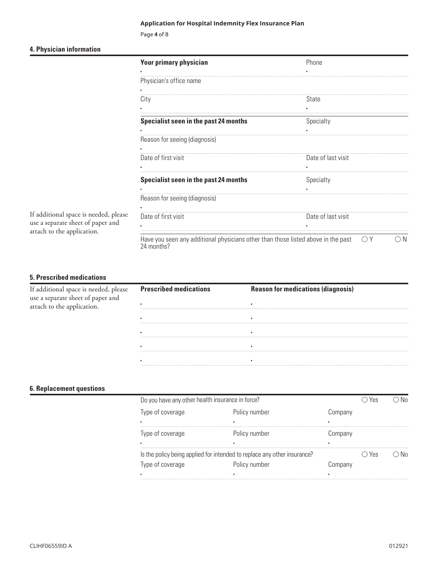Page **4** of 8

#### **4. Physician information**

|                                                                            | <b>Your primary physician</b>                                                                   | Phone                      |
|----------------------------------------------------------------------------|-------------------------------------------------------------------------------------------------|----------------------------|
|                                                                            | Physician's office name                                                                         |                            |
|                                                                            | City                                                                                            | State                      |
|                                                                            | Specialist seen in the past 24 months                                                           | Specialty                  |
|                                                                            | Reason for seeing (diagnosis)                                                                   |                            |
|                                                                            | Date of first visit                                                                             | Date of last visit         |
|                                                                            | Specialist seen in the past 24 months                                                           | Specialty                  |
|                                                                            | Reason for seeing (diagnosis)                                                                   |                            |
| If additional space is needed, please<br>use a separate sheet of paper and | Date of first visit                                                                             | Date of last visit         |
| attach to the application.                                                 | Have you seen any additional physicians other than those listed above in the past<br>24 months? | $\bigcap N$<br>$\bigcap Y$ |

#### **5. Prescribed medications**

| rrional space is needed, please | <b>Prescribed medications</b> | <b>Reason for medications (diag</b> |
|---------------------------------|-------------------------------|-------------------------------------|
|                                 |                               |                                     |
|                                 |                               |                                     |
|                                 |                               |                                     |
|                                 |                               |                                     |
|                                 |                               |                                     |
|                                 |                               |                                     |

#### **6. Replacement questions**

| Do you have any other health insurance in force?                         |               |         | Yes |  |
|--------------------------------------------------------------------------|---------------|---------|-----|--|
| Type of coverage                                                         | Policy number | Company |     |  |
| ٠                                                                        |               |         |     |  |
| Type of coverage                                                         | Policy number | Company |     |  |
| ٠                                                                        |               |         |     |  |
| Is the policy being applied for intended to replace any other insurance? |               |         | Yes |  |
| Type of coverage                                                         | Policy number | :nmpany |     |  |
|                                                                          |               |         |     |  |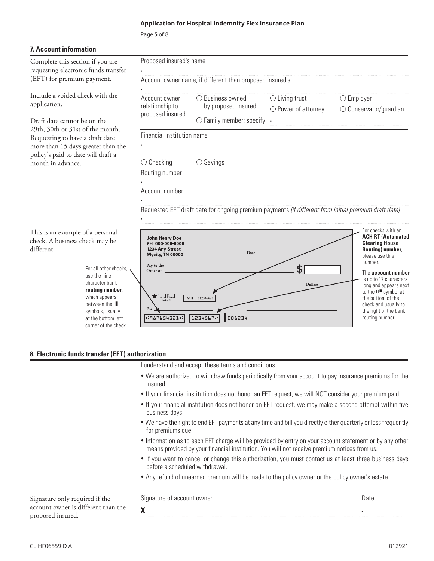○ Business owned

by proposed insured

Account owner name, if different than proposed insured's

Page **5** of 8

▪

▪

▪

▪

|  | <b>7. Account information</b> |
|--|-------------------------------|
|--|-------------------------------|

Complete this section if you are requesting electronic funds transfer (EFT) for premium payment.

Include a voided check with the application.

Draft date cannot be on the  $29th$ ,  $30th$  or  $31st$  of Requesting to have a more than 15 days greater than policy's paid to date will draft a month in advance.

different.

| e on the :                 | $\bigcirc$ Family member; specify |
|----------------------------|-----------------------------------|
| f the month.<br>draft date | Financial institution name        |
| reater than the            |                                   |

Account owner relationship to proposed insured:

Proposed insured's name

○ Checking ○ Savings

|  | Routing number |
|--|----------------|
|--|----------------|

Account number

Requested EFT draft date for ongoing premium payments *(if different from initial premium draft date)* 

▪

 $\bigcirc$  Living trust  $\bigcirc$ 

Power of attorney  $\bigcirc$  Conservator/guardian

 $\bigcirc$  Employer

○ Power of attorney



#### **8. Electronic funds transfer (EFT) authorization**

I understand and accept these terms and conditions:

- We are authorized to withdraw funds periodically from your account to pay insurance premiums for the insured.
- If your financial institution does not honor an EFT request, we will NOT consider your premium paid.
- If your financial institution does not honor an EFT request, we may make a second attempt within five business days.
- We have the right to end EFT payments at any time and bill you directly either quarterly or less frequently for premiums due.
- Information as to each EFT charge will be provided by entry on your account statement or by any other means provided by your financial institution. You will not receive premium notices from us.
- If you want to cancel or change this authorization, you must contact us at least three business days before a scheduled withdrawal.
- Any refund of unearned premium will be made to the policy owner or the policy owner's estate.

Signature only required if the account owner is different than the proposed insured.

Signature of account owner

**X** 

Date

▪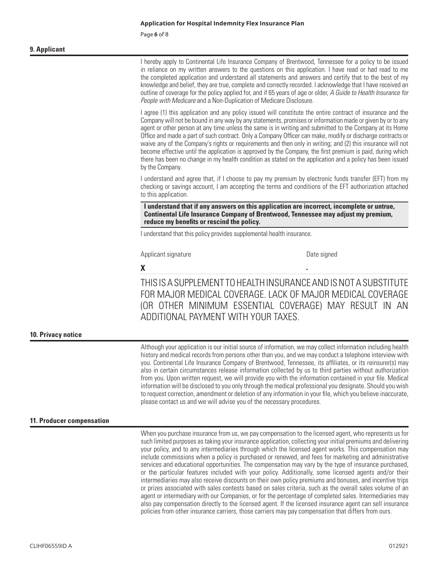Page **6** of 8

#### **9. Applicant**

I hereby apply to Continental Life Insurance Company of Brentwood, Tennessee for a policy to be issued in reliance on my written answers to the questions on this application. I have read or had read to me the completed application and understand all statements and answers and certify that to the best of my knowledge and belief, they are true, complete and correctly recorded. I acknowledge that I have received an outline of coverage for the policy applied for, and if 65 years of age or older, *A Guide to Health Insurance for People with Medicare* and a Non-Duplication of Medicare Disclosure.

I agree (1) this application and any policy issued will constitute the entire contract of insurance and the Company will not be bound in any way by any statements, promises or information made or given by or to any agent or other person at any time unless the same is in writing and submitted to the Company at its Home Office and made a part of such contract. Only a Company Officer can make, modify or discharge contracts or waive any of the Company's rights or requirements and then only in writing; and (2) this insurance will not become effective until the application is approved by the Company, the first premium is paid, during which there has been no change in my health condition as stated on the application and a policy has been issued by the Company.

I understand and agree that, if I choose to pay my premium by electronic funds transfer (EFT) from my checking or savings account, I am accepting the terms and conditions of the EFT authorization attached to this application.

**I understand that if any answers on this application are incorrect, incomplete or untrue, Continental Life Insurance Company of Brentwood, Tennessee may adjust my premium, reduce my benefits or rescind the policy.** 

I understand that this policy provides supplemental health insurance.

Applicant signature

Date signed

**The Community of the Community of the Community of the Community X** 

THIS IS A SUPPLEMENT TO HEALTH INSURANCE AND IS NOT A SUBSTITUTE FOR MAJOR MEDICAL COVERAGE. LACK OF MAJOR MEDICAL COVERAGE (OR OTHER MINIMUM ESSENTIAL COVERAGE) MAY RESULT IN AN ADDITIONAL PAYMENT WITH YOUR TAXES.

#### **10. Privacy notice**

Although your application is our initial source of information, we may collect information including health history and medical records from persons other than you, and we may conduct a telephone interview with you. Continental Life Insurance Company of Brentwood, Tennessee, its affiliates, or its reinsurer(s) may also in certain circumstances release information collected by us to third parties without authorization from you. Upon written request, we will provide you with the information contained in your file. Medical information will be disclosed to you only through the medical professional you designate. Should you wish to request correction, amendment or deletion of any information in your file, which you believe inaccurate, please contact us and we will advise you of the necessary procedures.

#### **11. Producer compensation**

When you purchase insurance from us, we pay compensation to the licensed agent, who represents us for such limited purposes as taking your insurance application, collecting your initial premiums and delivering your policy, and to any intermediaries through which the licensed agent works. This compensation may include commissions when a policy is purchased or renewed, and fees for marketing and administrative services and educational opportunities. The compensation may vary by the type of insurance purchased, or the particular features included with your policy. Additionally, some licensed agents and/or their intermediaries may also receive discounts on their own policy premiums and bonuses, and incentive trips or prizes associated with sales contests based on sales criteria, such as the overall sales volume of an agent or intermediary with our Companies, or for the percentage of completed sales. Intermediaries may also pay compensation directly to the licensed agent. If the licensed insurance agent can sell insurance policies from other insurance carriers, those carriers may pay compensation that differs from ours.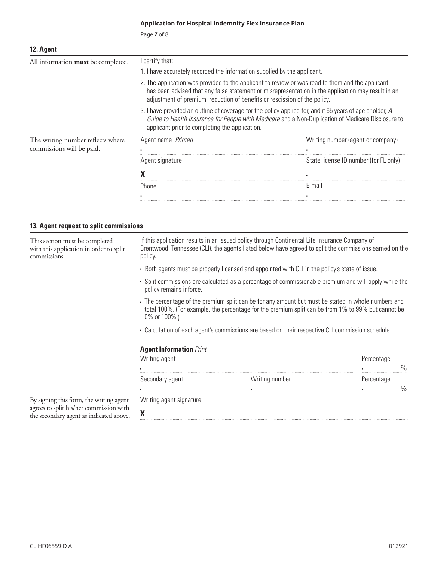Page **7** of 8

| 12. Agent                          |                                                                                                                                                                                                                                                                                     |                                                                                                                                                                                                                |  |  |
|------------------------------------|-------------------------------------------------------------------------------------------------------------------------------------------------------------------------------------------------------------------------------------------------------------------------------------|----------------------------------------------------------------------------------------------------------------------------------------------------------------------------------------------------------------|--|--|
| All information must be completed. | I certify that:                                                                                                                                                                                                                                                                     |                                                                                                                                                                                                                |  |  |
|                                    | 1. I have accurately recorded the information supplied by the applicant.                                                                                                                                                                                                            |                                                                                                                                                                                                                |  |  |
|                                    | 2. The application was provided to the applicant to review or was read to them and the applicant<br>has been advised that any false statement or misrepresentation in the application may result in an<br>adjustment of premium, reduction of benefits or rescission of the policy. |                                                                                                                                                                                                                |  |  |
|                                    | applicant prior to completing the application.                                                                                                                                                                                                                                      | 3. I have provided an outline of coverage for the policy applied for, and if 65 years of age or older, A<br>Guide to Health Insurance for People with Medicare and a Non-Duplication of Medicare Disclosure to |  |  |
| The writing number reflects where  | Agent name Printed                                                                                                                                                                                                                                                                  | Writing number (agent or company)                                                                                                                                                                              |  |  |
| commissions will be paid.          |                                                                                                                                                                                                                                                                                     |                                                                                                                                                                                                                |  |  |
|                                    | Agent signature                                                                                                                                                                                                                                                                     | State license ID number (for FL only)                                                                                                                                                                          |  |  |
|                                    |                                                                                                                                                                                                                                                                                     |                                                                                                                                                                                                                |  |  |
|                                    | Phone                                                                                                                                                                                                                                                                               | F-mail                                                                                                                                                                                                         |  |  |

▪ ▪

#### **13. Agent request to split commissions**

This section must be completed with this application in order to split commissions.

If this application results in an issued policy through Continental Life Insurance Company of Brentwood, Tennessee (CLI), the agents listed below have agreed to split the commissions earned on the policy.

- Both agents must be properly licensed and appointed with CLI in the policy's state of issue.
- Split commissions are calculated as a percentage of commissionable premium and will apply while the policy remains inforce.
- The percentage of the premium split can be for any amount but must be stated in whole numbers and total 100%. (For example, the percentage for the premium split can be from 1% to 99% but cannot be 0% or 100%.)
- Calculation of each agent's commissions are based on their respective CLI commission schedule.

#### **Agent Information** *Print*

| Writing agent           |                | Percentage |  |
|-------------------------|----------------|------------|--|
| $\blacksquare$          | .              |            |  |
| Secondary agent         | Writing number | Percentage |  |
| $\blacksquare$          |                |            |  |
| Writing agent signature |                |            |  |
|                         |                |            |  |

By signing this form, the writing agent agrees to split his/her commission with the secondary agent as indicated above.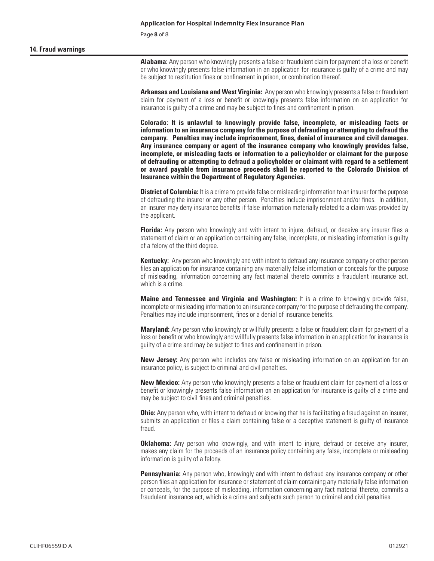Page **8** of 8

#### **14. Fraud warnings**

**Alabama:** Any person who knowingly presents a false or fraudulent claim for payment of a loss or benefit or who knowingly presents false information in an application for insurance is guilty of a crime and may be subject to restitution fines or confinement in prison, or combination thereof.

**Arkansas and Louisiana and West Virginia:** Any person who knowingly presents a false or fraudulent claim for payment of a loss or benefit or knowingly presents false information on an application for insurance is guilty of a crime and may be subject to fines and confinement in prison.

 **company. Penalties may include imprisonment, fines, denial of insurance and civil damages. Colorado: It is unlawful to knowingly provide false, incomplete, or misleading facts or information to an insurance company for the purpose of defrauding or attempting to defraud the Any insurance company or agent of the insurance company who knowingly provides false, incomplete, or misleading facts or information to a policyholder or claimant for the purpose of defrauding or attempting to defraud a policyholder or claimant with regard to a settlement or award payable from insurance proceeds shall be reported to the Colorado Division of Insurance within the Department of Regulatory Agencies.** 

**District of Columbia:** It is a crime to provide false or misleading information to an insurer for the purpose of defrauding the insurer or any other person. Penalties include imprisonment and/or fines. In addition, an insurer may deny insurance benefits if false information materially related to a claim was provided by the applicant.

**Florida:** Any person who knowingly and with intent to injure, defraud, or deceive any insurer files a statement of claim or an application containing any false, incomplete, or misleading information is guilty of a felony of the third degree.

**Kentucky:** Any person who knowingly and with intent to defraud any insurance company or other person files an application for insurance containing any materially false information or conceals for the purpose of misleading, information concerning any fact material thereto commits a fraudulent insurance act, which is a crime.

**Maine and Tennessee and Virginia and Washington:** It is a crime to knowingly provide false, incomplete or misleading information to an insurance company for the purpose of defrauding the company. Penalties may include imprisonment, fines or a denial of insurance benefits.

**Maryland:** Any person who knowingly or willfully presents a false or fraudulent claim for payment of a loss or benefit or who knowingly and willfully presents false information in an application for insurance is guilty of a crime and may be subject to fines and confinement in prison.

**New Jersey:** Any person who includes any false or misleading information on an application for an insurance policy, is subject to criminal and civil penalties.

**New Mexico:** Any person who knowingly presents a false or fraudulent claim for payment of a loss or benefit or knowingly presents false information on an application for insurance is guilty of a crime and may be subject to civil fines and criminal penalties.

**Ohio:** Any person who, with intent to defraud or knowing that he is facilitating a fraud against an insurer, submits an application or files a claim containing false or a deceptive statement is guilty of insurance fraud.

**Oklahoma:** Any person who knowingly, and with intent to injure, defraud or deceive any insurer, makes any claim for the proceeds of an insurance policy containing any false, incomplete or misleading information is guilty of a felony.

**Pennsylvania:** Any person who, knowingly and with intent to defraud any insurance company or other person files an application for insurance or statement of claim containing any materially false information or conceals, for the purpose of misleading, information concerning any fact material thereto, commits a fraudulent insurance act, which is a crime and subjects such person to criminal and civil penalties.